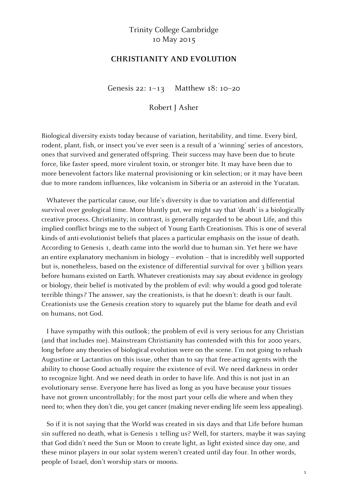## Trinity College Cambridge 10 May 2015

## **CHRISTIANITY AND EVOLUTION**

Genesis 22: 1–13 Matthew 18: 10–20

Robert J Asher

Biological diversity exists today because of variation, heritability, and time. Every bird, rodent, plant, fish, or insect you've ever seen is a result of a 'winning' series of ancestors, ones that survived and generated offspring. Their success may have been due to brute force, like faster speed, more virulent toxin, or stronger bite. It may have been due to more benevolent factors like maternal provisioning or kin selection; or it may have been due to more random influences, like volcanism in Siberia or an asteroid in the Yucatan.

Whatever the particular cause, our life's diversity is due to variation and differential survival over geological time. More bluntly put, we might say that 'death' is a biologically creative process. Christianity, in contrast, is generally regarded to be about Life, and this implied conflict brings me to the subject of Young Earth Creationism. This is one of several kinds of anti-evolutionist beliefs that places a particular emphasis on the issue of death. According to Genesis 1, death came into the world due to human sin. Yet here we have an entire explanatory mechanism in biology – evolution – that is incredibly well supported but is, nonetheless, based on the existence of differential survival for over 3 billion years before humans existed on Earth. Whatever creationists may say about evidence in geology or biology, their belief is motivated by the problem of evil: why would a good god tolerate terrible things? The answer, say the creationists, is that he doesn't: death is our fault. Creationists use the Genesis creation story to squarely put the blame for death and evil on humans, not God.

I have sympathy with this outlook; the problem of evil is very serious for any Christian (and that includes me). Mainstream Christianity has contended with this for 2000 years, long before any theories of biological evolution were on the scene. I'm not going to rehash Augustine or Lactantius on this issue, other than to say that free-acting agents with the ability to choose Good actually require the existence of evil. We need darkness in order to recognize light. And we need death in order to have life. And this is not just in an evolutionary sense. Everyone here has lived as long as you have because your tissues have not grown uncontrollably; for the most part your cells die where and when they need to; when they don't die, you get cancer (making never-ending life seem less appealing).

So if it is not saying that the World was created in six days and that Life before human sin suffered no death, what is Genesis 1 telling us? Well, for starters, maybe it was saying that God didn't need the Sun or Moon to create light, as light existed since day one, and these minor players in our solar system weren't created until day four. In other words, people of Israel, don't worship stars or moons.